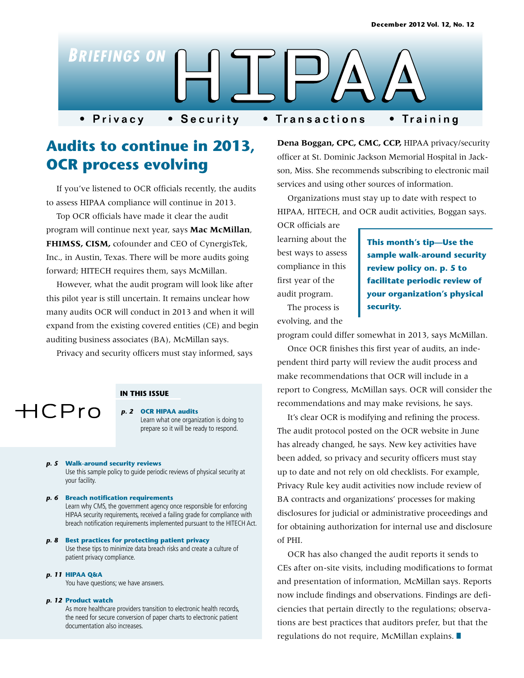

# **Audits to continue in 2013, OCR process evolving**

If you've listened to OCR officials recently, the audits to assess HIPAA compliance will continue in 2013.

Top OCR officials have made it clear the audit program will continue next year, says **Mac McMillan**, **FHIMSS, CISM,** cofounder and CEO of CynergisTek, Inc., in Austin, Texas. There will be more audits going forward; HITECH requires them, says McMillan.

However, what the audit program will look like after this pilot year is still uncertain. It remains unclear how many audits OCR will conduct in 2013 and when it will expand from the existing covered entities (CE) and begin auditing business associates (BA), McMillan says.

Privacy and security officers must stay informed, says



#### **IN THIS ISSUE**

*p. 2* **OCR HIPAA audits**  Learn what one organization is doing to prepare so it will be ready to respond.

#### *p. 5* **Walk-around security reviews**

Use this sample policy to guide periodic reviews of physical security at your facility.

#### *p. 6* **Breach notification requirements**

Learn why CMS, the government agency once responsible for enforcing HIPAA security requirements, received a failing grade for compliance with breach notification requirements implemented pursuant to the HITECH Act.

#### *p. 8* **Best practices for protecting patient privacy** Use these tips to minimize data breach risks and create a culture of patient privacy compliance.

*p. 11* **HIPAA Q&A**

You have questions; we have answers.

#### *p. 12* **Product watch**

As more healthcare providers transition to electronic health records, the need for secure conversion of paper charts to electronic patient documentation also increases.

**Dena Boggan, CPC, CMC, CCP,** HIPAA privacy/security officer at St. Dominic Jackson Memorial Hospital in Jackson, Miss. She recommends subscribing to electronic mail services and using other sources of information.

Organizations must stay up to date with respect to HIPAA, HITECH, and OCR audit activities, Boggan says.

OCR officials are learning about the best ways to assess compliance in this first year of the audit program.

**This month's tip—Use the sample walk-around security review policy on. p. 5 to facilitate periodic review of your organization's physical security.** 

The process is evolving, and the

program could differ somewhat in 2013, says McMillan.

Once OCR finishes this first year of audits, an independent third party will review the audit process and make recommendations that OCR will include in a report to Congress, McMillan says. OCR will consider the recommendations and may make revisions, he says.

It's clear OCR is modifying and refining the process. The audit protocol posted on the OCR website in June has already changed, he says. New key activities have been added, so privacy and security officers must stay up to date and not rely on old checklists. For example, Privacy Rule key audit activities now include review of BA contracts and organizations' processes for making disclosures for judicial or administrative proceedings and for obtaining authorization for internal use and disclosure of PHI.

OCR has also changed the audit reports it sends to CEs after on-site visits, including modifications to format and presentation of information, McMillan says. Reports now include findings and observations. Findings are deficiencies that pertain directly to the regulations; observations are best practices that auditors prefer, but that the regulations do not require, McMillan explains.  $\blacksquare$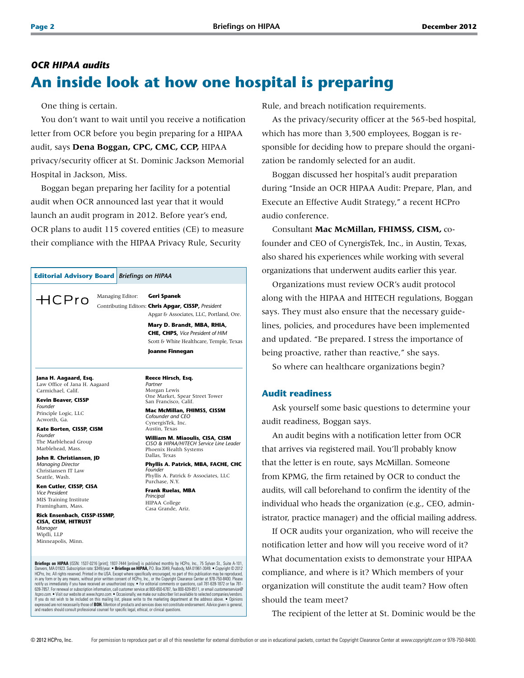## *OCR HIPAA audits* **An inside look at how one hospital is preparing**

One thing is certain.

You don't want to wait until you receive a notification letter from OCR before you begin preparing for a HIPAA audit, says **Dena Boggan, CPC, CMC, CCP,** HIPAA privacy/security officer at St. Dominic Jackson Memorial Hospital in Jackson, Miss.

Boggan began preparing her facility for a potential audit when OCR announced last year that it would launch an audit program in 2012. Before year's end, OCR plans to audit 115 covered entities (CE) to measure their compliance with the HIPAA Privacy Rule, Security

#### **Editorial Advisory Board** *Briefings on HIPAA*

Managing Editor: **Geri Spanek**  $HCP$ ro

Contributing Editors: **Chris Apgar, CISSP,** *President* Apgar & Associates, LLC, Portland, Ore. **Mary D. Brandt, MBA, RHIA, CHE, CHPS,** *Vice President of HIM*  Scott & White Healthcare, Temple, Texas **Joanne Finnegan**

## **Jana H. Aagaard, Esq.**

Law Office of Jana H. Aagaard Carmichael, Calif.

**Kevin Beaver, CISSP** *Founder* Principle Logic, LLC Acworth, Ga.

**Kate Borten, CISSP, CISM** *Founder* The Marblehead Group Marblehead, Mass.

**John R. Christiansen, JD** *Managing Director* Christiansen IT Law Seattle, Wash.

**Ken Cutler, CISSP, CISA** *Vice President*  MIS Training Institute Framingham, Mass.

**Rick Ensenbach, CISSP-ISSMP, CISA, CISM, HITRUST** *Manager* Wipfli, LLP Minneapolis, Minn.

**Reece Hirsch, Esq.** *Partner* Morgan Lewis One Market, Spear Street Tower San Francisco, Calif.

#### **Mac McMillan, FHIMSS, CISSM** *Cofounder and CEO* CynergisTek, Inc. Austin, Texas

**William M. Miaoulis, CISA, CISM** *CISO & HIPAA/HITECH Service Line Leader* Phoenix Health Systems Dallas, Texas **Phyllis A. Patrick, MBA, FACHE, CHC**

*Founder* Phyllis A. Patrick & Associates, LLC Purchase, N.Y.

**Frank Ruelas, MBA** *Principal* HIPAA College Casa Grande, Ariz.

Briefings on HIPAA (ISSN: 1537-0216 [print]; 1937-7444 [online]) is published monthly by HCPro, Inc., 75 Sylvan St., Suite A-101 Danvers, MA 01923. Subscription rate: \$349/year. ● **Briefings on HIPAA,** P.O. Box 3049, Peabody, MA 01961-3049. ● Copyright © 2012<br>HCPro, Inc. All rights reserved. Printed in the USA. Except where specifically encouraged,

notify us immediately if you have received an unauthorized copy.  $\bullet$  For editorial comments or questions, call 781-639-1872 or fax 781-<br>6539-7857. For renewal or subscription information, call customer service at 800-650-

and readers should consult professional counsel for specific legal, ethical, or clinical questions.

Rule, and breach notification requirements.

As the privacy/security officer at the 565-bed hospital, which has more than 3,500 employees, Boggan is responsible for deciding how to prepare should the organization be randomly selected for an audit.

Boggan discussed her hospital's audit preparation during "Inside an OCR HIPAA Audit: Prepare, Plan, and Execute an Effective Audit Strategy," a recent HCPro audio conference.

Consultant **Mac McMillan, FHIMSS, CISM,** cofounder and CEO of CynergisTek, Inc., in Austin, Texas, also shared his experiences while working with several organizations that underwent audits earlier this year.

Organizations must review OCR's audit protocol along with the HIPAA and HITECH regulations, Boggan says. They must also ensure that the necessary guidelines, policies, and procedures have been implemented and updated. "Be prepared. I stress the importance of being proactive, rather than reactive," she says.

So where can healthcare organizations begin?

### **Audit readiness**

Ask yourself some basic questions to determine your audit readiness, Boggan says.

An audit begins with a notification letter from OCR that arrives via registered mail. You'll probably know that the letter is en route, says McMillan. Someone from KPMG, the firm retained by OCR to conduct the audits, will call beforehand to confirm the identity of the individual who heads the organization (e.g., CEO, administrator, practice manager) and the official mailing address.

If OCR audits your organization, who will receive the notification letter and how will you receive word of it? What documentation exists to demonstrate your HIPAA compliance, and where is it? Which members of your organization will constitute the audit team? How often should the team meet?

The recipient of the letter at St. Dominic would be the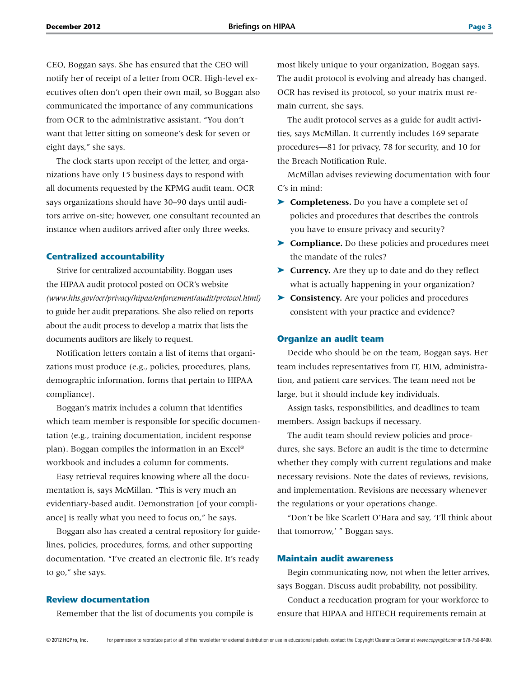CEO, Boggan says. She has ensured that the CEO will notify her of receipt of a letter from OCR. High-level executives often don't open their own mail, so Boggan also communicated the importance of any communications from OCR to the administrative assistant. "You don't want that letter sitting on someone's desk for seven or eight days," she says.

The clock starts upon receipt of the letter, and organizations have only 15 business days to respond with all documents requested by the KPMG audit team. OCR says organizations should have 30–90 days until auditors arrive on-site; however, one consultant recounted an instance when auditors arrived after only three weeks.

#### **Centralized accountability**

Strive for centralized accountability. Boggan uses the HIPAA audit protocol posted on OCR's website *(www.hhs.gov/ocr/privacy/hipaa/enforcement/audit/protocol.html)*  to guide her audit preparations. She also relied on reports about the audit process to develop a matrix that lists the documents auditors are likely to request.

Notification letters contain a list of items that organizations must produce (e.g., policies, procedures, plans, demographic information, forms that pertain to HIPAA compliance).

Boggan's matrix includes a column that identifies which team member is responsible for specific documentation (e.g., training documentation, incident response plan). Boggan compiles the information in an Excel® workbook and includes a column for comments.

Easy retrieval requires knowing where all the documentation is, says McMillan. "This is very much an evidentiary-based audit. Demonstration [of your compliance] is really what you need to focus on," he says.

Boggan also has created a central repository for guidelines, policies, procedures, forms, and other supporting documentation. "I've created an electronic file. It's ready to go," she says.

#### **Review documentation**

Remember that the list of documents you compile is

most likely unique to your organization, Boggan says. The audit protocol is evolving and already has changed. OCR has revised its protocol, so your matrix must remain current, she says.

The audit protocol serves as a guide for audit activities, says McMillan. It currently includes 169 separate procedures—81 for privacy, 78 for security, and 10 for the Breach Notification Rule.

McMillan advises reviewing documentation with four C's in mind:

- ➤ **Completeness.** Do you have a complete set of policies and procedures that describes the controls you have to ensure privacy and security?
- ➤ **Compliance.** Do these policies and procedures meet the mandate of the rules?
- ➤ **Currency.** Are they up to date and do they reflect what is actually happening in your organization?
- ➤ **Consistency.** Are your policies and procedures consistent with your practice and evidence?

#### **Organize an audit team**

Decide who should be on the team, Boggan says. Her team includes representatives from IT, HIM, administration, and patient care services. The team need not be large, but it should include key individuals.

Assign tasks, responsibilities, and deadlines to team members. Assign backups if necessary.

The audit team should review policies and procedures, she says. Before an audit is the time to determine whether they comply with current regulations and make necessary revisions. Note the dates of reviews, revisions, and implementation. Revisions are necessary whenever the regulations or your operations change.

"Don't be like Scarlett O'Hara and say, 'I'll think about that tomorrow,' " Boggan says.

#### **Maintain audit awareness**

Begin communicating now, not when the letter arrives, says Boggan. Discuss audit probability, not possibility.

Conduct a reeducation program for your workforce to ensure that HIPAA and HITECH requirements remain at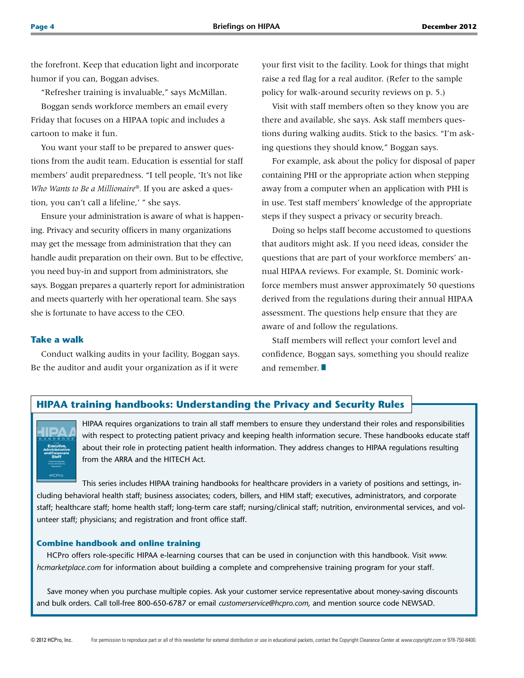the forefront. Keep that education light and incorporate humor if you can, Boggan advises.

"Refresher training is invaluable," says McMillan.

Boggan sends workforce members an email every Friday that focuses on a HIPAA topic and includes a cartoon to make it fun.

You want your staff to be prepared to answer questions from the audit team. Education is essential for staff members' audit preparedness. "I tell people, 'It's not like *Who Wants to Be a Millionaire®.* If you are asked a question, you can't call a lifeline,' " she says.

Ensure your administration is aware of what is happening. Privacy and security officers in many organizations may get the message from administration that they can handle audit preparation on their own. But to be effective, you need buy-in and support from administrators, she says. Boggan prepares a quarterly report for administration and meets quarterly with her operational team. She says she is fortunate to have access to the CEO.

#### **Take a walk**

Conduct walking audits in your facility, Boggan says. Be the auditor and audit your organization as if it were

your first visit to the facility. Look for things that might raise a red flag for a real auditor. (Refer to the sample policy for walk-around security reviews on p. 5.)

Visit with staff members often so they know you are there and available, she says. Ask staff members questions during walking audits. Stick to the basics. "I'm asking questions they should know," Boggan says.

For example, ask about the policy for disposal of paper containing PHI or the appropriate action when stepping away from a computer when an application with PHI is in use. Test staff members' knowledge of the appropriate steps if they suspect a privacy or security breach.

Doing so helps staff become accustomed to questions that auditors might ask. If you need ideas, consider the questions that are part of your workforce members' annual HIPAA reviews. For example, St. Dominic workforce members must answer approximately 50 questions derived from the regulations during their annual HIPAA assessment. The questions help ensure that they are aware of and follow the regulations.

Staff members will reflect your comfort level and confidence, Boggan says, something you should realize and remember.  $\blacksquare$ 

## **HIPAA training handbooks: Understanding the Privacy and Security Rules**

HIPAA requires organizations to train all staff members to ensure they understand their roles and responsibilities with respect to protecting patient privacy and keeping health information secure. These handbooks educate staff about their role in protecting patient health information. They address changes to HIPAA regulations resulting from the ARRA and the HITECH Act.

This series includes HIPAA training handbooks for healthcare providers in a variety of positions and settings, including behavioral health staff; business associates; coders, billers, and HIM staff; executives, administrators, and corporate staff; healthcare staff; home health staff; long-term care staff; nursing/clinical staff; nutrition, environmental services, and volunteer staff; physicians; and registration and front office staff.

#### **Combine handbook and online training**

HCPro offers role-specific HIPAA e-learning courses that can be used in conjunction with this handbook. Visit *www. hcmarketplace.com* for information about building a complete and comprehensive training program for your staff.

Save money when you purchase multiple copies. Ask your customer service representative about money-saving discounts and bulk orders. Call toll-free 800-650-6787 or email *customerservice@hcpro.com,* and mention source code NEWSAD.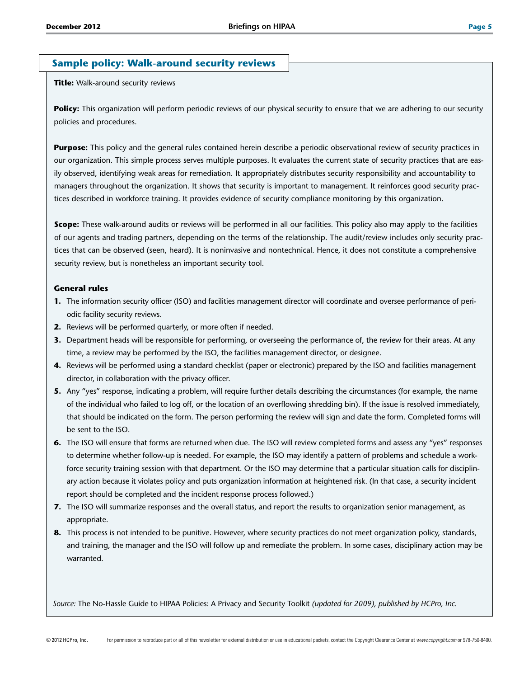### **Sample policy: Walk-around security reviews**

**Title:** Walk-around security reviews

Policy: This organization will perform periodic reviews of our physical security to ensure that we are adhering to our security policies and procedures.

**Purpose:** This policy and the general rules contained herein describe a periodic observational review of security practices in our organization. This simple process serves multiple purposes. It evaluates the current state of security practices that are easily observed, identifying weak areas for remediation. It appropriately distributes security responsibility and accountability to managers throughout the organization. It shows that security is important to management. It reinforces good security practices described in workforce training. It provides evidence of security compliance monitoring by this organization.

**Scope:** These walk-around audits or reviews will be performed in all our facilities. This policy also may apply to the facilities of our agents and trading partners, depending on the terms of the relationship. The audit/review includes only security practices that can be observed (seen, heard). It is noninvasive and nontechnical. Hence, it does not constitute a comprehensive security review, but is nonetheless an important security tool.

#### **General rules**

- **1.** The information security officer (ISO) and facilities management director will coordinate and oversee performance of periodic facility security reviews.
- **2.** Reviews will be performed quarterly, or more often if needed.
- **3.** Department heads will be responsible for performing, or overseeing the performance of, the review for their areas. At any time, a review may be performed by the ISO, the facilities management director, or designee.
- **4.** Reviews will be performed using a standard checklist (paper or electronic) prepared by the ISO and facilities management director, in collaboration with the privacy officer.
- **5.** Any "yes" response, indicating a problem, will require further details describing the circumstances (for example, the name of the individual who failed to log off, or the location of an overflowing shredding bin). If the issue is resolved immediately, that should be indicated on the form. The person performing the review will sign and date the form. Completed forms will be sent to the ISO.
- **6.** The ISO will ensure that forms are returned when due. The ISO will review completed forms and assess any "yes" responses to determine whether follow-up is needed. For example, the ISO may identify a pattern of problems and schedule a workforce security training session with that department. Or the ISO may determine that a particular situation calls for disciplinary action because it violates policy and puts organization information at heightened risk. (In that case, a security incident report should be completed and the incident response process followed.)
- **7.** The ISO will summarize responses and the overall status, and report the results to organization senior management, as appropriate.
- **8.** This process is not intended to be punitive. However, where security practices do not meet organization policy, standards, and training, the manager and the ISO will follow up and remediate the problem. In some cases, disciplinary action may be warranted.

*Source:* The No-Hassle Guide to HIPAA Policies: A Privacy and Security Toolkit *(updated for 2009), published by HCPro, Inc.*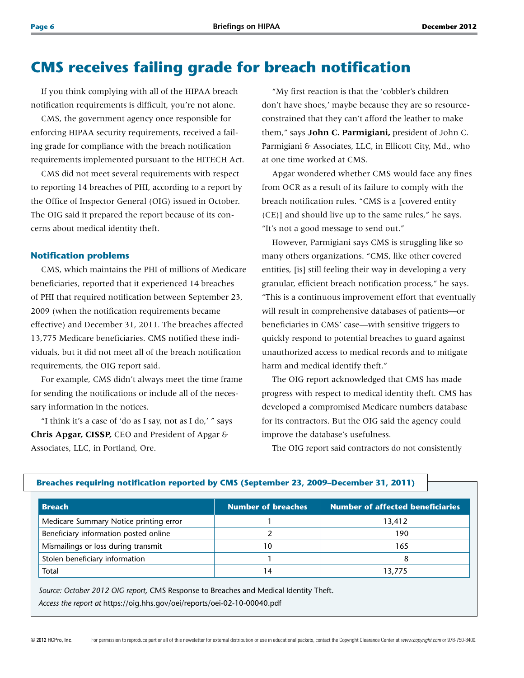## **CMS receives failing grade for breach notification**

If you think complying with all of the HIPAA breach notification requirements is difficult, you're not alone.

CMS, the government agency once responsible for enforcing HIPAA security requirements, received a failing grade for compliance with the breach notification requirements implemented pursuant to the HITECH Act.

CMS did not meet several requirements with respect to reporting 14 breaches of PHI, according to a report by the Office of Inspector General (OIG) issued in October. The OIG said it prepared the report because of its concerns about medical identity theft.

#### **Notification problems**

CMS, which maintains the PHI of millions of Medicare beneficiaries, reported that it experienced 14 breaches of PHI that required notification between September 23, 2009 (when the notification requirements became effective) and December 31, 2011. The breaches affected 13,775 Medicare beneficiaries. CMS notified these individuals, but it did not meet all of the breach notification requirements, the OIG report said.

For example, CMS didn't always meet the time frame for sending the notifications or include all of the necessary information in the notices.

"I think it's a case of 'do as I say, not as I do,' " says **Chris Apgar, CISSP,** CEO and President of Apgar & Associates, LLC, in Portland, Ore.

"My first reaction is that the 'cobbler's children don't have shoes,' maybe because they are so resourceconstrained that they can't afford the leather to make them," says **John C. Parmigiani,** president of John C. Parmigiani & Associates, LLC, in Ellicott City, Md., who at one time worked at CMS.

Apgar wondered whether CMS would face any fines from OCR as a result of its failure to comply with the breach notification rules. "CMS is a [covered entity (CE)] and should live up to the same rules," he says. "It's not a good message to send out."

However, Parmigiani says CMS is struggling like so many others organizations. "CMS, like other covered entities, [is] still feeling their way in developing a very granular, efficient breach notification process," he says. "This is a continuous improvement effort that eventually will result in comprehensive databases of patients—or beneficiaries in CMS' case—with sensitive triggers to quickly respond to potential breaches to guard against unauthorized access to medical records and to mitigate harm and medical identify theft."

The OIG report acknowledged that CMS has made progress with respect to medical identity theft. CMS has developed a compromised Medicare numbers database for its contractors. But the OIG said the agency could improve the database's usefulness.

The OIG report said contractors do not consistently

| <b>Breach</b>                          | <b>Number of breaches</b> | <b>Number of affected beneficiaries</b> |  |  |
|----------------------------------------|---------------------------|-----------------------------------------|--|--|
| Medicare Summary Notice printing error |                           | 13,412                                  |  |  |
| Beneficiary information posted online  |                           | 190                                     |  |  |
| Mismailings or loss during transmit    | 10                        | 165                                     |  |  |
| Stolen beneficiary information         |                           |                                         |  |  |
| Total                                  |                           | 13,775                                  |  |  |

#### **Breaches requiring notification reported by CMS (September 23, 2009–December 31, 2011)**

*Source: October 2012 OIG report,* CMS Response to Breaches and Medical Identity Theft. *Access the report at* https://oig.hhs.gov/oei/reports/oei-02-10-00040.pdf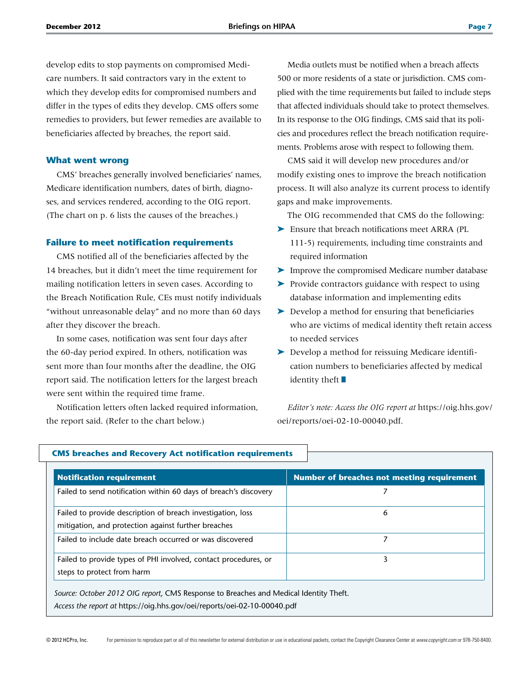develop edits to stop payments on compromised Medicare numbers. It said contractors vary in the extent to which they develop edits for compromised numbers and differ in the types of edits they develop. CMS offers some remedies to providers, but fewer remedies are available to beneficiaries affected by breaches, the report said.

#### **What went wrong**

CMS' breaches generally involved beneficiaries' names, Medicare identification numbers, dates of birth, diagnoses, and services rendered, according to the OIG report. (The chart on p. 6 lists the causes of the breaches.)

#### **Failure to meet notification requirements**

CMS notified all of the beneficiaries affected by the 14 breaches, but it didn't meet the time requirement for mailing notification letters in seven cases. According to the Breach Notification Rule, CEs must notify individuals "without unreasonable delay" and no more than 60 days after they discover the breach.

In some cases, notification was sent four days after the 60-day period expired. In others, notification was sent more than four months after the deadline, the OIG report said. The notification letters for the largest breach were sent within the required time frame.

Notification letters often lacked required information, the report said. (Refer to the chart below.)

Media outlets must be notified when a breach affects 500 or more residents of a state or jurisdiction. CMS complied with the time requirements but failed to include steps that affected individuals should take to protect themselves. In its response to the OIG findings, CMS said that its policies and procedures reflect the breach notification requirements. Problems arose with respect to following them.

CMS said it will develop new procedures and/or modify existing ones to improve the breach notification process. It will also analyze its current process to identify gaps and make improvements.

The OIG recommended that CMS do the following:

- ▶ Ensure that breach notifications meet ARRA (PL 111-5) requirements, including time constraints and required information
- ➤ Improve the compromised Medicare number database
- ➤ Provide contractors guidance with respect to using database information and implementing edits
- ➤ Develop a method for ensuring that beneficiaries who are victims of medical identity theft retain access to needed services
- ➤ Develop a method for reissuing Medicare identification numbers to beneficiaries affected by medical identity theft  $\blacksquare$

*Editor's note: Access the OIG report at* https://oig.hhs.gov/ oei/reports/oei-02-10-00040.pdf.

| <b>Notification requirement</b>                                  | Number of breaches not meeting requirement |
|------------------------------------------------------------------|--------------------------------------------|
| Failed to send notification within 60 days of breach's discovery |                                            |
| Failed to provide description of breach investigation, loss      | 6                                          |
| mitigation, and protection against further breaches              |                                            |
| Failed to include date breach occurred or was discovered         | 7                                          |
| Failed to provide types of PHI involved, contact procedures, or  | 3                                          |
| steps to protect from harm                                       |                                            |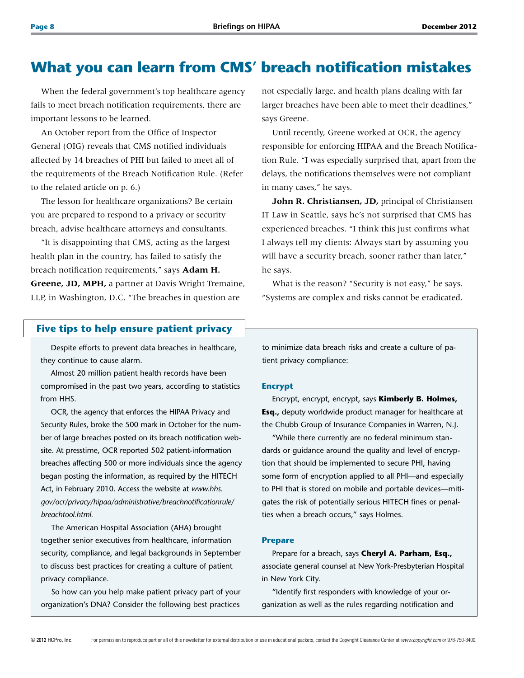## **What you can learn from CMS' breach notification mistakes**

When the federal government's top healthcare agency fails to meet breach notification requirements, there are important lessons to be learned.

An October report from the Office of Inspector General (OIG) reveals that CMS notified individuals affected by 14 breaches of PHI but failed to meet all of the requirements of the Breach Notification Rule. (Refer to the related article on p. 6.)

The lesson for healthcare organizations? Be certain you are prepared to respond to a privacy or security breach, advise healthcare attorneys and consultants.

"It is disappointing that CMS, acting as the largest health plan in the country, has failed to satisfy the breach notification requirements," says **Adam H. Greene, JD, MPH,** a partner at Davis Wright Tremaine, LLP, in Washington, D.C. "The breaches in question are

not especially large, and health plans dealing with far larger breaches have been able to meet their deadlines," says Greene.

Until recently, Greene worked at OCR, the agency responsible for enforcing HIPAA and the Breach Notification Rule. "I was especially surprised that, apart from the delays, the notifications themselves were not compliant in many cases," he says.

**John R. Christiansen, JD,** principal of Christiansen IT Law in Seattle, says he's not surprised that CMS has experienced breaches. "I think this just confirms what I always tell my clients: Always start by assuming you will have a security breach, sooner rather than later," he says.

What is the reason? "Security is not easy," he says. "Systems are complex and risks cannot be eradicated.

### **Five tips to help ensure patient privacy**

Despite efforts to prevent data breaches in healthcare, they continue to cause alarm.

Almost 20 million patient health records have been compromised in the past two years, according to statistics from HHS.

OCR, the agency that enforces the HIPAA Privacy and Security Rules, broke the 500 mark in October for the number of large breaches posted on its breach notification website. At presstime, OCR reported 502 patient-information breaches affecting 500 or more individuals since the agency began posting the information, as required by the HITECH Act, in February 2010. Access the website at *www.hhs. gov/ocr/privacy/hipaa/administrative/breachnotificationrule/ breachtool.html.*

The American Hospital Association (AHA) brought together senior executives from healthcare, information security, compliance, and legal backgrounds in September to discuss best practices for creating a culture of patient privacy compliance.

So how can you help make patient privacy part of your organization's DNA? Consider the following best practices

to minimize data breach risks and create a culture of patient privacy compliance:

#### **Encrypt**

Encrypt, encrypt, encrypt, says **Kimberly B. Holmes, Esq.,** deputy worldwide product manager for healthcare at the Chubb Group of Insurance Companies in Warren, N.J.

"While there currently are no federal minimum standards or guidance around the quality and level of encryption that should be implemented to secure PHI, having some form of encryption applied to all PHI—and especially to PHI that is stored on mobile and portable devices—mitigates the risk of potentially serious HITECH fines or penalties when a breach occurs," says Holmes.

#### **Prepare**

Prepare for a breach, says **Cheryl A. Parham, Esq.,** associate general counsel at New York-Presbyterian Hospital in New York City.

"Identify first responders with knowledge of your organization as well as the rules regarding notification and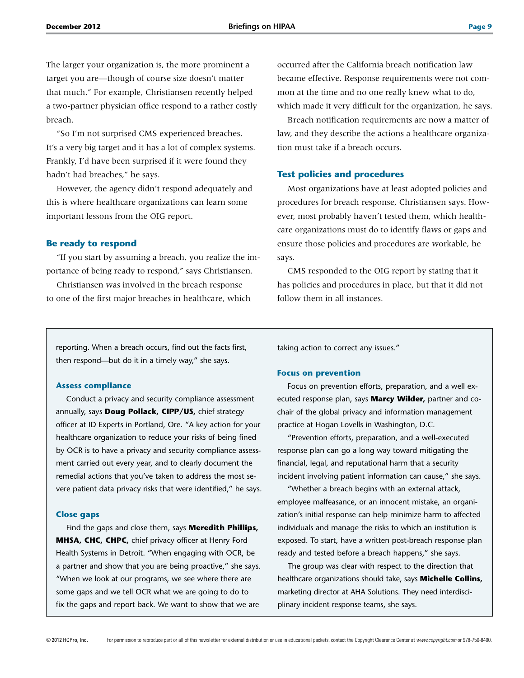The larger your organization is, the more prominent a target you are—though of course size doesn't matter that much." For example, Christiansen recently helped a two-partner physician office respond to a rather costly breach.

"So I'm not surprised CMS experienced breaches. It's a very big target and it has a lot of complex systems. Frankly, I'd have been surprised if it were found they hadn't had breaches," he says.

However, the agency didn't respond adequately and this is where healthcare organizations can learn some important lessons from the OIG report.

#### **Be ready to respond**

"If you start by assuming a breach, you realize the importance of being ready to respond," says Christiansen.

Christiansen was involved in the breach response to one of the first major breaches in healthcare, which occurred after the California breach notification law became effective. Response requirements were not common at the time and no one really knew what to do, which made it very difficult for the organization, he says.

Breach notification requirements are now a matter of law, and they describe the actions a healthcare organization must take if a breach occurs.

#### **Test policies and procedures**

Most organizations have at least adopted policies and procedures for breach response, Christiansen says. However, most probably haven't tested them, which healthcare organizations must do to identify flaws or gaps and ensure those policies and procedures are workable, he says.

CMS responded to the OIG report by stating that it has policies and procedures in place, but that it did not follow them in all instances.

reporting. When a breach occurs, find out the facts first, then respond—but do it in a timely way," she says.

#### **Assess compliance**

Conduct a privacy and security compliance assessment annually, says **Doug Pollack, CIPP/US,** chief strategy officer at ID Experts in Portland, Ore. "A key action for your healthcare organization to reduce your risks of being fined by OCR is to have a privacy and security compliance assessment carried out every year, and to clearly document the remedial actions that you've taken to address the most severe patient data privacy risks that were identified," he says.

#### **Close gaps**

Find the gaps and close them, says **Meredith Phillips, MHSA, CHC, CHPC,** chief privacy officer at Henry Ford Health Systems in Detroit. "When engaging with OCR, be a partner and show that you are being proactive," she says. "When we look at our programs, we see where there are some gaps and we tell OCR what we are going to do to fix the gaps and report back. We want to show that we are

taking action to correct any issues."

#### **Focus on prevention**

Focus on prevention efforts, preparation, and a well executed response plan, says **Marcy Wilder,** partner and cochair of the global privacy and information management practice at Hogan Lovells in Washington, D.C.

"Prevention efforts, preparation, and a well-executed response plan can go a long way toward mitigating the financial, legal, and reputational harm that a security incident involving patient information can cause," she says.

"Whether a breach begins with an external attack, employee malfeasance, or an innocent mistake, an organization's initial response can help minimize harm to affected individuals and manage the risks to which an institution is exposed. To start, have a written post-breach response plan ready and tested before a breach happens," she says.

The group was clear with respect to the direction that healthcare organizations should take, says **Michelle Collins,** marketing director at AHA Solutions. They need interdisciplinary incident response teams, she says.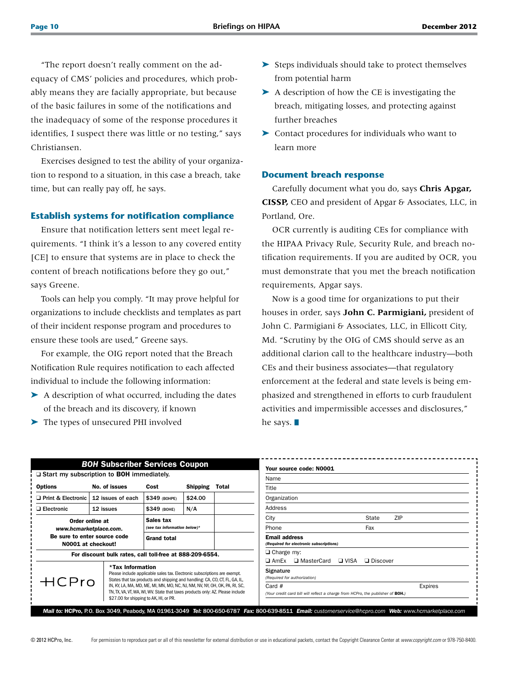"The report doesn't really comment on the adequacy of CMS' policies and procedures, which probably means they are facially appropriate, but because of the basic failures in some of the notifications and the inadequacy of some of the response procedures it identifies, I suspect there was little or no testing," says Christiansen.

Exercises designed to test the ability of your organization to respond to a situation, in this case a breach, take time, but can really pay off, he says.

#### **Establish systems for notification compliance**

Ensure that notification letters sent meet legal requirements. "I think it's a lesson to any covered entity [CE] to ensure that systems are in place to check the content of breach notifications before they go out," says Greene.

Tools can help you comply. "It may prove helpful for organizations to include checklists and templates as part of their incident response program and procedures to ensure these tools are used," Greene says.

For example, the OIG report noted that the Breach Notification Rule requires notification to each affected individual to include the following information:

- ▶ A description of what occurred, including the dates of the breach and its discovery, if known
- ➤ The types of unsecured PHI involved
- ➤ Steps individuals should take to protect themselves from potential harm
- ➤ A description of how the CE is investigating the breach, mitigating losses, and protecting against further breaches
- ➤ Contact procedures for individuals who want to learn more

#### **Document breach response**

Carefully document what you do, says **Chris Apgar, CISSP,** CEO and president of Apgar & Associates, LLC, in Portland, Ore.

OCR currently is auditing CEs for compliance with the HIPAA Privacy Rule, Security Rule, and breach notification requirements. If you are audited by OCR, you must demonstrate that you met the breach notification requirements, Apgar says.

Now is a good time for organizations to put their houses in order, says **John C. Parmigiani,** president of John C. Parmigiani & Associates, LLC, in Ellicott City, Md. "Scrutiny by the OIG of CMS should serve as an additional clarion call to the healthcare industry—both CEs and their business associates—that regulatory enforcement at the federal and state levels is being emphasized and strengthened in efforts to curb fraudulent activities and impermissible accesses and disclosures," he says.  $\blacksquare$ 

| <b>BOH Subscriber Services Coupon</b>                                                                                                                 |                   |                                                                                                                                                                                                                                                                                                                                                                     |                   |                                                        |                                                                                                        | Your source code: N0001                 |            |  |  |
|-------------------------------------------------------------------------------------------------------------------------------------------------------|-------------------|---------------------------------------------------------------------------------------------------------------------------------------------------------------------------------------------------------------------------------------------------------------------------------------------------------------------------------------------------------------------|-------------------|--------------------------------------------------------|--------------------------------------------------------------------------------------------------------|-----------------------------------------|------------|--|--|
| $\Box$ Start my subscription to BOH immediately.                                                                                                      |                   |                                                                                                                                                                                                                                                                                                                                                                     |                   | Name                                                   |                                                                                                        |                                         |            |  |  |
| <b>Options</b>                                                                                                                                        | No. of issues     | Cost                                                                                                                                                                                                                                                                                                                                                                | <b>Shipping</b>   | Total                                                  | Title                                                                                                  |                                         |            |  |  |
| Print & Electronic                                                                                                                                    | 12 issues of each | \$349 (BOHPE)                                                                                                                                                                                                                                                                                                                                                       | \$24.00           |                                                        | Organization                                                                                           |                                         |            |  |  |
| $\Box$ Electronic                                                                                                                                     | 12 issues         | \$349 (BOHE)                                                                                                                                                                                                                                                                                                                                                        | N/A               |                                                        | Address                                                                                                |                                         |            |  |  |
| Sales tax<br>Order online at<br>www.hcmarketplace.com.<br>Be sure to enter source code<br><b>Grand total</b><br>N0001 at checkout!                    |                   |                                                                                                                                                                                                                                                                                                                                                                     |                   | City                                                   |                                                                                                        | State                                   | <b>ZIP</b> |  |  |
|                                                                                                                                                       |                   | (see tax information below)*                                                                                                                                                                                                                                                                                                                                        |                   |                                                        | Phone                                                                                                  |                                         | Fax        |  |  |
|                                                                                                                                                       |                   |                                                                                                                                                                                                                                                                                                                                                                     |                   |                                                        | <b>Email address</b>                                                                                   | (Required for electronic subscriptions) |            |  |  |
| For discount bulk rates, call toll-free at 888-209-6554.                                                                                              |                   |                                                                                                                                                                                                                                                                                                                                                                     | $\Box$ Charge my: |                                                        |                                                                                                        |                                         |            |  |  |
| *Tax Information                                                                                                                                      |                   |                                                                                                                                                                                                                                                                                                                                                                     |                   | □ VISA<br>□ Discover<br>□ MasterCard<br>$\square$ AmEx |                                                                                                        |                                         |            |  |  |
| HCPro                                                                                                                                                 |                   | Please include applicable sales tax. Electronic subscriptions are exempt.<br>States that tax products and shipping and handling: CA, CO, CT, FL, GA, IL,<br>IN, KY, LA, MA, MD, ME, MI, MN, MO, NC, NJ, NM, NV, NY, OH, OK, PA, RI, SC,<br>TN, TX, VA, VT, WA, WI, WV. State that taxes products only: AZ. Please include<br>\$27.00 for shipping to AK, HI, or PR. |                   |                                                        | <b>Signature</b><br>(Required for authorization)                                                       |                                         |            |  |  |
|                                                                                                                                                       |                   |                                                                                                                                                                                                                                                                                                                                                                     |                   |                                                        | Card $#$<br>Expires<br>(Your credit card bill will reflect a charge from HCPro, the publisher of BOH.) |                                         |            |  |  |
| Mail to: HCPro, P.O. Box 3049, Peabody, MA 01961-3049 Tel: 800-650-6787 Fax: 800-639-8511 Email: customerservice@hcpro.com Web: www.hcmarketplace.com |                   |                                                                                                                                                                                                                                                                                                                                                                     |                   |                                                        |                                                                                                        |                                         |            |  |  |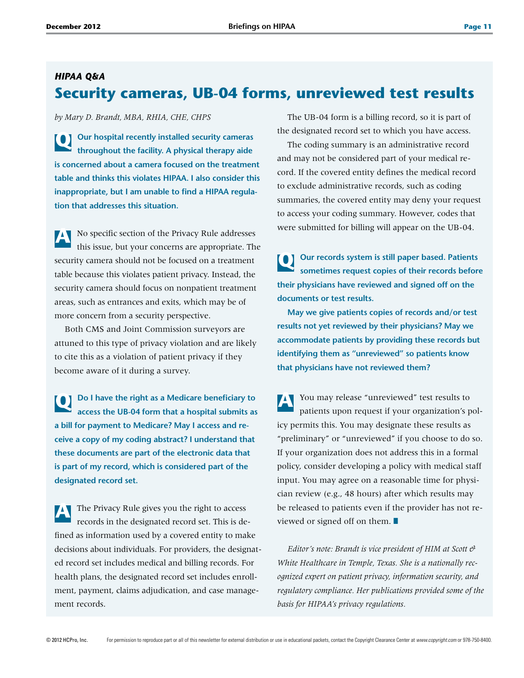## *HIPAA Q&A* **Security cameras, UB-04 forms, unreviewed test results**

*by Mary D. Brandt, MBA, RHIA, CHE, CHPS*

**Q Our hospital recently installed security cameras throughout the facility. A physical therapy aide is concerned about a camera focused on the treatment table and thinks this violates HIPAA. I also consider this inappropriate, but I am unable to find a HIPAA regulation that addresses this situation.** 

**A** No specific section of the Privacy Rule addresses this issue, but your concerns are appropriate. The security camera should not be focused on a treatment table because this violates patient privacy. Instead, the security camera should focus on nonpatient treatment areas, such as entrances and exits, which may be of more concern from a security perspective.

Both CMS and Joint Commission surveyors are attuned to this type of privacy violation and are likely to cite this as a violation of patient privacy if they become aware of it during a survey.

**Q Do I have the right as a Medicare beneficiary to access the UB-04 form that a hospital submits as a bill for payment to Medicare? May I access and receive a copy of my coding abstract? I understand that these documents are part of the electronic data that is part of my record, which is considered part of the designated record set.**

**A** The Privacy Rule gives you the right to access records in the designated record set. This is defined as information used by a covered entity to make decisions about individuals. For providers, the designated record set includes medical and billing records. For health plans, the designated record set includes enrollment, payment, claims adjudication, and case management records.

The UB-04 form is a billing record, so it is part of the designated record set to which you have access.

The coding summary is an administrative record and may not be considered part of your medical record. If the covered entity defines the medical record to exclude administrative records, such as coding summaries, the covered entity may deny your request to access your coding summary. However, codes that were submitted for billing will appear on the UB-04.

**Q Our records system is still paper based. Patients sometimes request copies of their records before their physicians have reviewed and signed off on the documents or test results.** 

**May we give patients copies of records and/or test results not yet reviewed by their physicians? May we accommodate patients by providing these records but identifying them as "unreviewed" so patients know that physicians have not reviewed them?** 

**A** You may release "unreviewed" test results to patients upon request if your organization's policy permits this. You may designate these results as "preliminary" or "unreviewed" if you choose to do so. If your organization does not address this in a formal policy, consider developing a policy with medical staff input. You may agree on a reasonable time for physician review (e.g., 48 hours) after which results may be released to patients even if the provider has not reviewed or signed off on them.  $\blacksquare$ 

*Editor's note: Brandt is vice president of HIM at Scott & White Healthcare in Temple, Texas. She is a nationally recognized expert on patient privacy, information security, and regulatory compliance. Her publications provided some of the basis for HIPAA's privacy regulations.*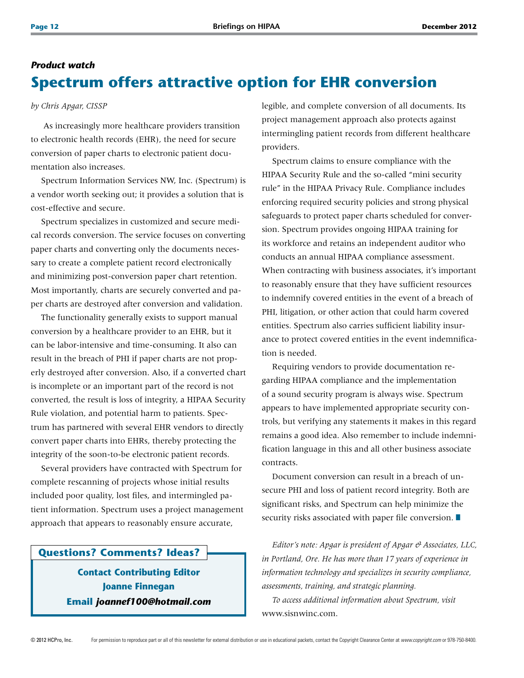## *Product watch* **Spectrum offers attractive option for EHR conversion**

*by Chris Apgar, CISSP*

 As increasingly more healthcare providers transition to electronic health records (EHR), the need for secure conversion of paper charts to electronic patient documentation also increases.

Spectrum Information Services NW, Inc. (Spectrum) is a vendor worth seeking out; it provides a solution that is cost-effective and secure.

Spectrum specializes in customized and secure medical records conversion. The service focuses on converting paper charts and converting only the documents necessary to create a complete patient record electronically and minimizing post-conversion paper chart retention. Most importantly, charts are securely converted and paper charts are destroyed after conversion and validation.

The functionality generally exists to support manual conversion by a healthcare provider to an EHR, but it can be labor-intensive and time-consuming. It also can result in the breach of PHI if paper charts are not properly destroyed after conversion. Also, if a converted chart is incomplete or an important part of the record is not converted, the result is loss of integrity, a HIPAA Security Rule violation, and potential harm to patients. Spectrum has partnered with several EHR vendors to directly convert paper charts into EHRs, thereby protecting the integrity of the soon-to-be electronic patient records.

Several providers have contracted with Spectrum for complete rescanning of projects whose initial results included poor quality, lost files, and intermingled patient information. Spectrum uses a project management approach that appears to reasonably ensure accurate,

## **Questions? Comments? Ideas?**

**Contact Contributing Editor Joanne Finnegan Email** *joannef100@hotmail.com* legible, and complete conversion of all documents. Its project management approach also protects against intermingling patient records from different healthcare providers.

Spectrum claims to ensure compliance with the HIPAA Security Rule and the so-called "mini security rule" in the HIPAA Privacy Rule. Compliance includes enforcing required security policies and strong physical safeguards to protect paper charts scheduled for conversion. Spectrum provides ongoing HIPAA training for its workforce and retains an independent auditor who conducts an annual HIPAA compliance assessment. When contracting with business associates, it's important to reasonably ensure that they have sufficient resources to indemnify covered entities in the event of a breach of PHI, litigation, or other action that could harm covered entities. Spectrum also carries sufficient liability insurance to protect covered entities in the event indemnification is needed.

Requiring vendors to provide documentation regarding HIPAA compliance and the implementation of a sound security program is always wise. Spectrum appears to have implemented appropriate security controls, but verifying any statements it makes in this regard remains a good idea. Also remember to include indemnification language in this and all other business associate contracts.

Document conversion can result in a breach of unsecure PHI and loss of patient record integrity. Both are significant risks, and Spectrum can help minimize the security risks associated with paper file conversion.  $\blacksquare$ 

*Editor's note: Apgar is president of Apgar & Associates, LLC, in Portland, Ore. He has more than 17 years of experience in information technology and specializes in security compliance, assessments, training, and strategic planning.*

*To access additional information about Spectrum, visit*  www.sisnwinc.com.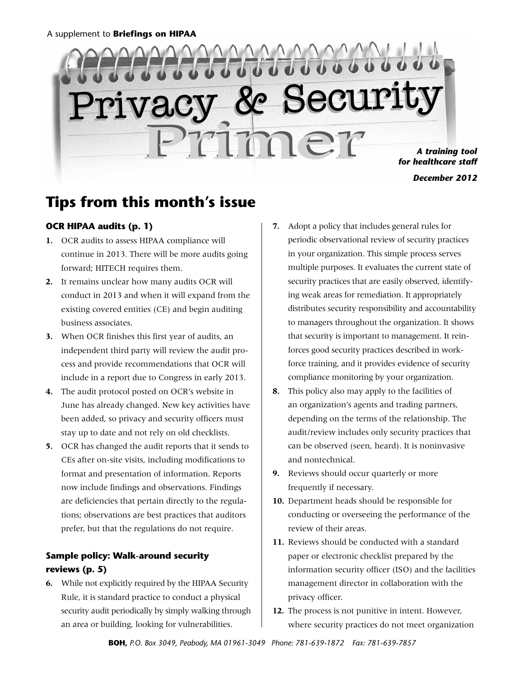# **LULULULU**  $\bullet$   $\bullet$   $\bullet$ Privacy & Security Primer *A training tool for healthcare staff December 2012*

# **Tips from this month's issue**

## **OCR HIPAA audits (p. 1)**

- **1.**  OCR audits to assess HIPAA compliance will continue in 2013. There will be more audits going forward; HITECH requires them.
- **2.** It remains unclear how many audits OCR will conduct in 2013 and when it will expand from the existing covered entities (CE) and begin auditing business associates.
- **3.** When OCR finishes this first year of audits, an independent third party will review the audit process and provide recommendations that OCR will include in a report due to Congress in early 2013.
- **4.**  The audit protocol posted on OCR's website in June has already changed. New key activities have been added, so privacy and security officers must stay up to date and not rely on old checklists.
- **5.** OCR has changed the audit reports that it sends to CEs after on-site visits, including modifications to format and presentation of information. Reports now include findings and observations. Findings are deficiencies that pertain directly to the regulations; observations are best practices that auditors prefer, but that the regulations do not require.

## **Sample policy: Walk-around security reviews (p. 5)**

**6.**  While not explicitly required by the HIPAA Security Rule, it is standard practice to conduct a physical security audit periodically by simply walking through an area or building, looking for vulnerabilities.

- **7.**  Adopt a policy that includes general rules for periodic observational review of security practices in your organization. This simple process serves multiple purposes. It evaluates the current state of security practices that are easily observed, identifying weak areas for remediation. It appropriately distributes security responsibility and accountability to managers throughout the organization. It shows that security is important to management. It reinforces good security practices described in workforce training, and it provides evidence of security compliance monitoring by your organization.
- **8.** This policy also may apply to the facilities of an organization's agents and trading partners, depending on the terms of the relationship. The audit/review includes only security practices that can be observed (seen, heard). It is noninvasive and nontechnical.
- **9.** Reviews should occur quarterly or more frequently if necessary.
- **10.** Department heads should be responsible for conducting or overseeing the performance of the review of their areas.
- **11.** Reviews should be conducted with a standard paper or electronic checklist prepared by the information security officer (ISO) and the facilities management director in collaboration with the privacy officer.
- **12.** The process is not punitive in intent. However, where security practices do not meet organization